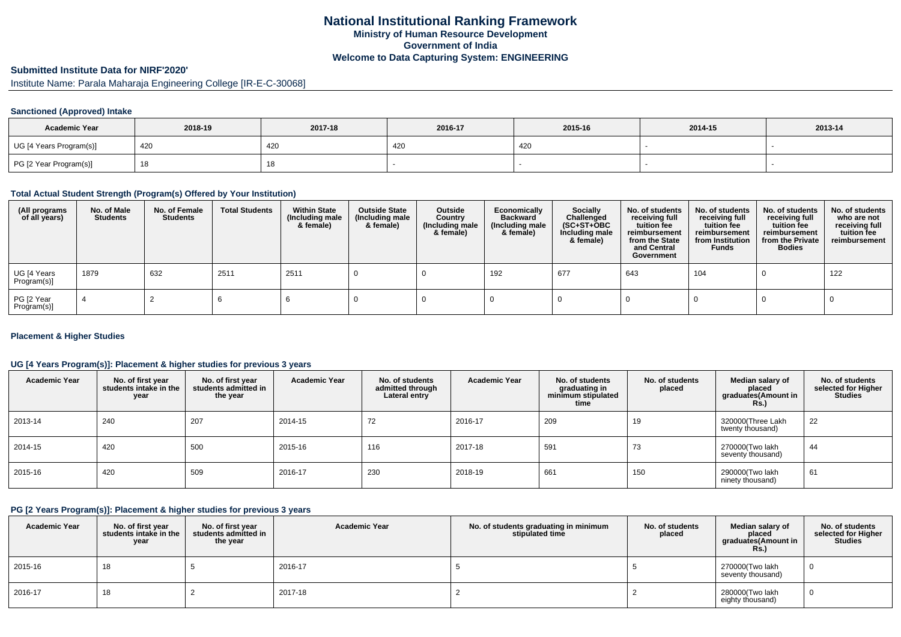# **Submitted Institute Data for NIRF'2020'**

Institute Name: Parala Maharaja Engineering College [IR-E-C-30068]

## **Sanctioned (Approved) Intake**

| <b>Academic Year</b>    | 2018-19 | 2017-18   | 2016-17 | 2015-16 | 2014-15 | 2013-14 |
|-------------------------|---------|-----------|---------|---------|---------|---------|
| UG [4 Years Program(s)] | 420     | 420       | 420     | 420     |         |         |
| PG [2 Year Program(s)]  |         | 4 C<br>18 |         |         |         |         |

## **Total Actual Student Strength (Program(s) Offered by Your Institution)**

| (All programs<br>of all years) | No. of Male<br><b>Students</b> | No. of Female<br><b>Students</b> | <b>Total Students</b> | <b>Within State</b><br>(Including male<br>& female) | <b>Outside State</b><br>(Including male<br>& female) | Outside<br>Country<br>(Including male<br>& female) | Economically<br><b>Backward</b><br>(Including male<br>& female) | <b>Socially</b><br>Challenged<br>$(SC+ST+OBC)$<br>Including male<br>& female) | No. of students<br>receiving full<br>tuition fee<br>reimbursement<br>from the State<br>and Central<br>Government | No. of students<br>receiving full<br>tuition fee<br>reimbursement<br>from Institution<br><b>Funds</b> | No. of students<br>receiving full<br>tuition fee<br>reimbursement<br>from the Private<br><b>Bodies</b> | No. of students<br>who are not<br>receiving full<br>tuition fee<br>reimbursement |
|--------------------------------|--------------------------------|----------------------------------|-----------------------|-----------------------------------------------------|------------------------------------------------------|----------------------------------------------------|-----------------------------------------------------------------|-------------------------------------------------------------------------------|------------------------------------------------------------------------------------------------------------------|-------------------------------------------------------------------------------------------------------|--------------------------------------------------------------------------------------------------------|----------------------------------------------------------------------------------|
| UG [4 Years<br>Program(s)]     | 1879                           | 632                              | 2511                  | 2511                                                |                                                      |                                                    | 192                                                             | 677                                                                           | 643                                                                                                              | 104                                                                                                   |                                                                                                        | 122                                                                              |
| PG [2 Year<br>Program(s)]      |                                |                                  |                       |                                                     |                                                      |                                                    |                                                                 |                                                                               |                                                                                                                  |                                                                                                       |                                                                                                        |                                                                                  |

#### **Placement & Higher Studies**

## **UG [4 Years Program(s)]: Placement & higher studies for previous 3 years**

| <b>Academic Year</b> | No. of first year<br>students intake in the<br>year | No. of first vear<br>students admitted in<br>the year | <b>Academic Year</b> | No. of students<br>admitted through<br>Lateral entry | <b>Academic Year</b> | No. of students<br>graduating in<br>minimum stipulated<br>time | No. of students<br>placed | Median salary of<br>placed<br>graduates(Amount in<br>Rs.) | No. of students<br>selected for Higher<br><b>Studies</b> |
|----------------------|-----------------------------------------------------|-------------------------------------------------------|----------------------|------------------------------------------------------|----------------------|----------------------------------------------------------------|---------------------------|-----------------------------------------------------------|----------------------------------------------------------|
| 2013-14              | 240                                                 | 207                                                   | 2014-15              | 72                                                   | 2016-17              | 209                                                            | 19                        | 320000(Three Lakh<br>twenty thousand)                     | 22                                                       |
| 2014-15              | 420                                                 | 500                                                   | 2015-16              | 116                                                  | 2017-18              | 591                                                            | 73                        | 270000(Two lakh<br>seventy thousand)                      | 44                                                       |
| 2015-16              | 420                                                 | 509                                                   | 2016-17              | 230                                                  | 2018-19              | 661                                                            | 150                       | 290000(Two lakh<br>ninety thousand)                       | 61                                                       |

## **PG [2 Years Program(s)]: Placement & higher studies for previous 3 years**

| <b>Academic Year</b> | No. of first year<br>students intake in the<br>year | No. of first vear<br>students admitted in<br>the year | <b>Academic Year</b> | No. of students graduating in minimum<br>stipulated time | No. of students<br>placed | Median salary of<br>placed<br>graduates(Amount in<br>Rs.) | No. of students<br>selected for Higher<br><b>Studies</b> |
|----------------------|-----------------------------------------------------|-------------------------------------------------------|----------------------|----------------------------------------------------------|---------------------------|-----------------------------------------------------------|----------------------------------------------------------|
| 2015-16              | 18                                                  |                                                       | 2016-17              |                                                          |                           | 270000(Two lakh<br>seventy thousand)                      |                                                          |
| 2016-17              | 18                                                  |                                                       | 2017-18              |                                                          |                           | 280000(Two lakh<br>eighty thousand)                       |                                                          |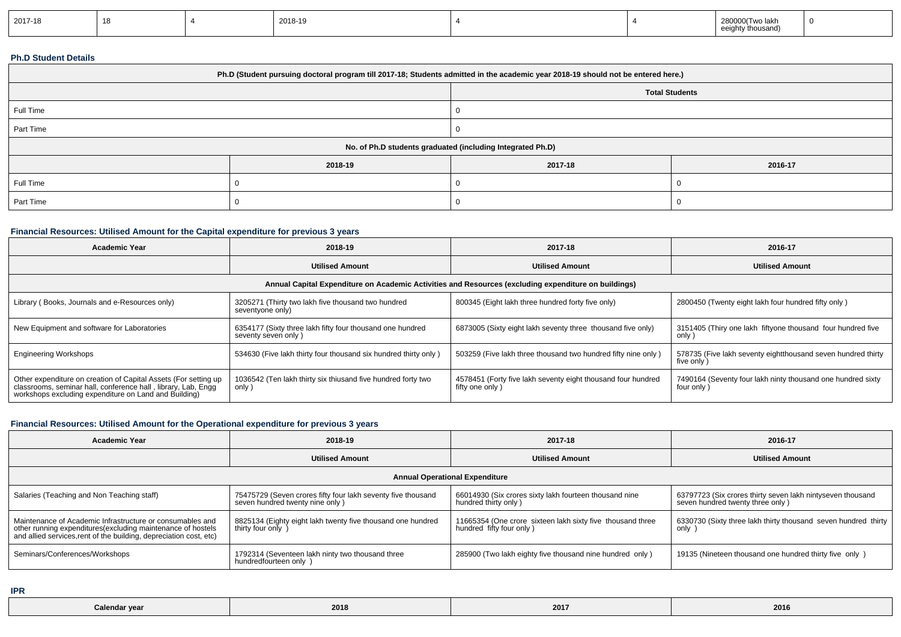| 2017-18 |  |  | 2018-19 |  |  | 280000(Two lakh<br>tv thousand)<br>$\sim$ $\sim$ $\sim$<br>$\ddotsc$ | $\overline{1}$ |
|---------|--|--|---------|--|--|----------------------------------------------------------------------|----------------|
|---------|--|--|---------|--|--|----------------------------------------------------------------------|----------------|

#### **Ph.D Student Details**

| Ph.D (Student pursuing doctoral program till 2017-18; Students admitted in the academic year 2018-19 should not be entered here.) |         |                                                            |         |  |  |  |
|-----------------------------------------------------------------------------------------------------------------------------------|---------|------------------------------------------------------------|---------|--|--|--|
| <b>Total Students</b>                                                                                                             |         |                                                            |         |  |  |  |
| Full Time                                                                                                                         |         |                                                            |         |  |  |  |
| Part Time                                                                                                                         |         |                                                            |         |  |  |  |
|                                                                                                                                   |         | No. of Ph.D students graduated (including Integrated Ph.D) |         |  |  |  |
|                                                                                                                                   | 2018-19 | 2017-18                                                    | 2016-17 |  |  |  |
| Full Time                                                                                                                         |         |                                                            |         |  |  |  |
| Part Time                                                                                                                         |         |                                                            |         |  |  |  |

## **Financial Resources: Utilised Amount for the Capital expenditure for previous 3 years**

| <b>Academic Year</b>                                                                                                                                                                      | 2018-19                                                                          | 2017-18                                                                         | 2016-17                                                                    |  |  |  |  |
|-------------------------------------------------------------------------------------------------------------------------------------------------------------------------------------------|----------------------------------------------------------------------------------|---------------------------------------------------------------------------------|----------------------------------------------------------------------------|--|--|--|--|
|                                                                                                                                                                                           | <b>Utilised Amount</b>                                                           | <b>Utilised Amount</b>                                                          | <b>Utilised Amount</b>                                                     |  |  |  |  |
| Annual Capital Expenditure on Academic Activities and Resources (excluding expenditure on buildings)                                                                                      |                                                                                  |                                                                                 |                                                                            |  |  |  |  |
| Library (Books, Journals and e-Resources only)                                                                                                                                            | 3205271 (Thirty two lakh five thousand two hundred<br>seventyone only)           | 800345 (Eight lakh three hundred forty five only)                               | 2800450 (Twenty eight lakh four hundred fifty only)                        |  |  |  |  |
| New Equipment and software for Laboratories                                                                                                                                               | 6354177 (Sixty three lakh fifty four thousand one hundred<br>seventy seven only) | 6873005 (Sixty eight lakh seventy three thousand five only)                     | 3151405 (Thiry one lakh fiftyone thousand four hundred five<br>only)       |  |  |  |  |
| <b>Engineering Workshops</b>                                                                                                                                                              | 534630 (Five lakh thirty four thousand six hundred thirty only)                  | 503259 (Five lakh three thousand two hundred fifty nine only)                   | 578735 (Five lakh seventy eightthousand seven hundred thirty<br>five only) |  |  |  |  |
| Other expenditure on creation of Capital Assets (For setting up<br>classrooms, seminar hall, conference hall, library, Lab, Engq<br>workshops excluding expenditure on Land and Building) | 1036542 (Ten lakh thirty six thiusand five hundred forty two<br>only)            | 4578451 (Forty five lakh seventy eight thousand four hundred<br>fifty one only) | 7490164 (Seventy four lakh ninty thousand one hundred sixty<br>four only)  |  |  |  |  |

## **Financial Resources: Utilised Amount for the Operational expenditure for previous 3 years**

| <b>Academic Year</b>                                                                                                                                                                            | 2018-19                                                                                         | 2017-18                                                                                | 2016-17                                                                                        |  |  |  |  |
|-------------------------------------------------------------------------------------------------------------------------------------------------------------------------------------------------|-------------------------------------------------------------------------------------------------|----------------------------------------------------------------------------------------|------------------------------------------------------------------------------------------------|--|--|--|--|
|                                                                                                                                                                                                 | <b>Utilised Amount</b>                                                                          | <b>Utilised Amount</b>                                                                 | <b>Utilised Amount</b>                                                                         |  |  |  |  |
| <b>Annual Operational Expenditure</b>                                                                                                                                                           |                                                                                                 |                                                                                        |                                                                                                |  |  |  |  |
| Salaries (Teaching and Non Teaching staff)                                                                                                                                                      | 75475729 (Seven crores fifty four lakh seventy five thousand<br>seven hundred twenty nine only) | 66014930 (Six crores sixty lakh fourteen thousand nine<br>hundred thirty only)         | 63797723 (Six crores thirty seven lakh nintyseven thousand<br>seven hundred twenty three only) |  |  |  |  |
| Maintenance of Academic Infrastructure or consumables and<br>other running expenditures (excluding maintenance of hostels<br>and allied services, rent of the building, depreciation cost, etc) | 8825134 (Eighty eight lakh twenty five thousand one hundred<br>thirty four only                 | 11665354 (One crore sixteen lakh sixty five thousand three<br>hundred fifty four only) | 6330730 (Sixty three lakh thirty thousand seven hundred thirty<br>only                         |  |  |  |  |
| Seminars/Conferences/Workshops                                                                                                                                                                  | 1792314 (Seventeen lakh ninty two thousand three<br>hundredfourteen only )                      | 285900 (Two lakh eighty five thousand nine hundred only)                               | 19135 (Nineteen thousand one hundred thirty five only)                                         |  |  |  |  |

**IPR**

| Calendar year<br>. | 2018 | 2017 | 2016 |
|--------------------|------|------|------|
|--------------------|------|------|------|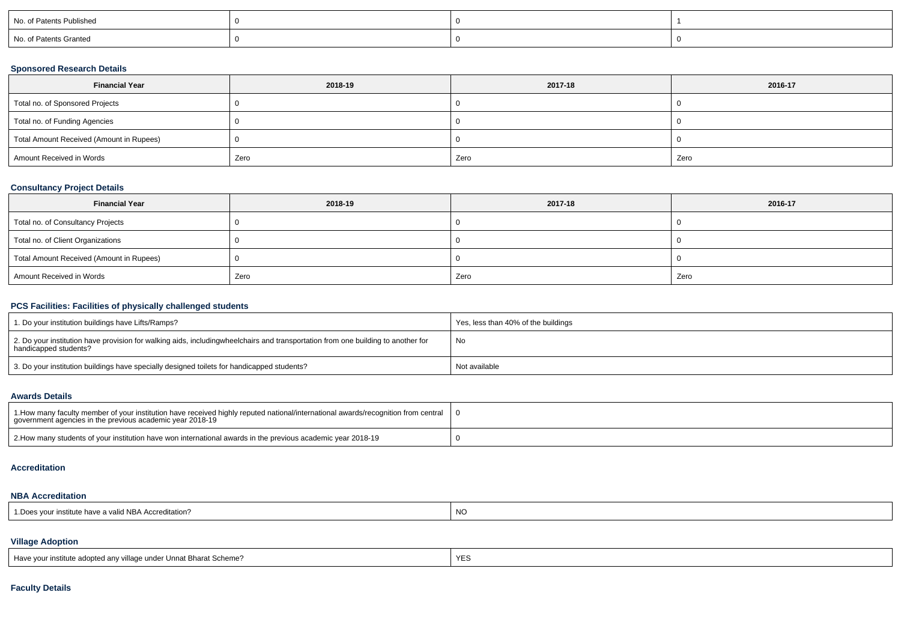| No. of Patents Published |  |  |
|--------------------------|--|--|
| No. of Patents Granted   |  |  |

## **Sponsored Research Details**

| <b>Financial Year</b>                    | 2018-19 | 2017-18 | 2016-17 |
|------------------------------------------|---------|---------|---------|
| Total no. of Sponsored Projects          |         |         |         |
| Total no. of Funding Agencies            |         |         |         |
| Total Amount Received (Amount in Rupees) |         |         |         |
| Amount Received in Words                 | Zero    | Zero    | Zero    |

## **Consultancy Project Details**

| <b>Financial Year</b>                    | 2018-19 | 2017-18 | 2016-17 |
|------------------------------------------|---------|---------|---------|
| Total no. of Consultancy Projects        |         |         |         |
| Total no. of Client Organizations        |         |         |         |
| Total Amount Received (Amount in Rupees) |         |         |         |
| Amount Received in Words                 | Zero    | Zero    | Zero    |

## **PCS Facilities: Facilities of physically challenged students**

| 1. Do your institution buildings have Lifts/Ramps?                                                                                                        | Yes, less than 40% of the buildings |  |  |  |  |  |
|-----------------------------------------------------------------------------------------------------------------------------------------------------------|-------------------------------------|--|--|--|--|--|
| 2. Do your institution have provision for walking aids, includingwheelchairs and transportation from one building to another for<br>handicapped students? | No                                  |  |  |  |  |  |
| 3. Do your institution buildings have specially designed toilets for handicapped students?                                                                | Not available                       |  |  |  |  |  |

#### **Awards Details**

| 1. How many faculty member of your institution have received highly reputed national/international awards/recognition from central<br>government agencies in the previous academic year 2018-19 |  |
|-------------------------------------------------------------------------------------------------------------------------------------------------------------------------------------------------|--|
| 2. How many students of your institution have won international awards in the previous academic year 2018-19                                                                                    |  |

#### **Accreditation**

## **NBA Accreditation**

| d NBA Accreditation?<br>$\overline{\phantom{a}}$<br>ır institute<br>nave a<br>a vallu<br>. | NC |
|--------------------------------------------------------------------------------------------|----|
|                                                                                            |    |

## **Village Adoption**

| Have your institute adopted any village under Unnat Bharat Scheme? | <b>YE</b> |
|--------------------------------------------------------------------|-----------|
|                                                                    |           |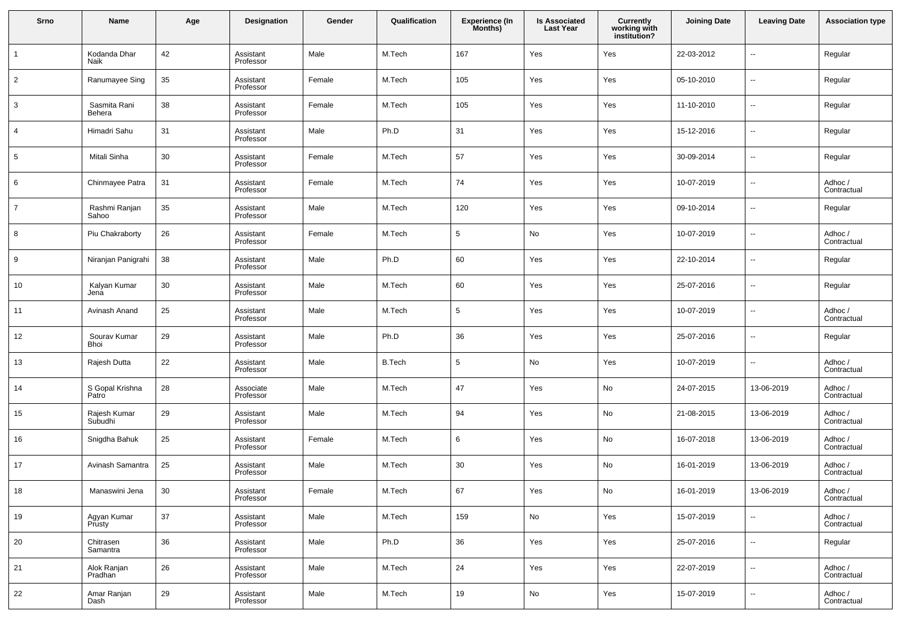| Srno           | Name                     | Age | <b>Designation</b>     | Gender | Qualification | <b>Experience (In</b><br>Months) | <b>Is Associated</b><br><b>Last Year</b> | <b>Currently</b><br>working with<br>institution? | <b>Joining Date</b> | <b>Leaving Date</b>      | <b>Association type</b> |
|----------------|--------------------------|-----|------------------------|--------|---------------|----------------------------------|------------------------------------------|--------------------------------------------------|---------------------|--------------------------|-------------------------|
| $\mathbf{1}$   | Kodanda Dhar<br>Naik     | 42  | Assistant<br>Professor | Male   | M.Tech        | 167                              | Yes                                      | Yes                                              | 22-03-2012          | --                       | Regular                 |
| $\overline{2}$ | Ranumayee Sing           | 35  | Assistant<br>Professor | Female | M.Tech        | 105                              | Yes                                      | Yes                                              | 05-10-2010          | $\overline{\phantom{a}}$ | Regular                 |
| 3              | Sasmita Rani<br>Behera   | 38  | Assistant<br>Professor | Female | M.Tech        | 105                              | Yes                                      | Yes                                              | 11-10-2010          | --                       | Regular                 |
| 4              | Himadri Sahu             | 31  | Assistant<br>Professor | Male   | Ph.D          | 31                               | Yes                                      | Yes                                              | 15-12-2016          | --                       | Regular                 |
| 5              | Mitali Sinha             | 30  | Assistant<br>Professor | Female | M.Tech        | 57                               | Yes                                      | Yes                                              | 30-09-2014          | $\overline{\phantom{a}}$ | Regular                 |
| 6              | Chinmayee Patra          | 31  | Assistant<br>Professor | Female | M.Tech        | 74                               | Yes                                      | Yes                                              | 10-07-2019          | --                       | Adhoc /<br>Contractual  |
| $\overline{7}$ | Rashmi Ranjan<br>Sahoo   | 35  | Assistant<br>Professor | Male   | M.Tech        | 120                              | Yes                                      | Yes                                              | 09-10-2014          | --                       | Regular                 |
| 8              | Piu Chakraborty          | 26  | Assistant<br>Professor | Female | M.Tech        | 5                                | No                                       | Yes                                              | 10-07-2019          | $\overline{\phantom{a}}$ | Adhoc /<br>Contractual  |
| 9              | Niranjan Panigrahi       | 38  | Assistant<br>Professor | Male   | Ph.D          | 60                               | Yes                                      | Yes                                              | 22-10-2014          | --                       | Regular                 |
| 10             | Kalyan Kumar<br>Jena     | 30  | Assistant<br>Professor | Male   | M.Tech        | 60                               | Yes                                      | Yes                                              | 25-07-2016          | --                       | Regular                 |
| 11             | Avinash Anand            | 25  | Assistant<br>Professor | Male   | M.Tech        | 5                                | Yes                                      | Yes                                              | 10-07-2019          | $\overline{\phantom{a}}$ | Adhoc /<br>Contractual  |
| 12             | Sourav Kumar<br>Bhoi     | 29  | Assistant<br>Professor | Male   | Ph.D          | 36                               | Yes                                      | Yes                                              | 25-07-2016          | --                       | Regular                 |
| 13             | Rajesh Dutta             | 22  | Assistant<br>Professor | Male   | <b>B.Tech</b> | 5                                | No                                       | Yes                                              | 10-07-2019          | --                       | Adhoc /<br>Contractual  |
| 14             | S Gopal Krishna<br>Patro | 28  | Associate<br>Professor | Male   | M.Tech        | 47                               | Yes                                      | No                                               | 24-07-2015          | 13-06-2019               | Adhoc /<br>Contractual  |
| 15             | Rajesh Kumar<br>Subudhi  | 29  | Assistant<br>Professor | Male   | M.Tech        | 94                               | Yes                                      | No                                               | 21-08-2015          | 13-06-2019               | Adhoc /<br>Contractual  |
| 16             | Snigdha Bahuk            | 25  | Assistant<br>Professor | Female | M.Tech        | 6                                | Yes                                      | No                                               | 16-07-2018          | 13-06-2019               | Adhoc /<br>Contractual  |
| 17             | Avinash Samantra         | 25  | Assistant<br>Professor | Male   | M.Tech        | 30                               | Yes                                      | No                                               | 16-01-2019          | 13-06-2019               | Adhoc /<br>Contractual  |
| 18             | Manaswini Jena           | 30  | Assistant<br>Professor | Female | M.Tech        | 67                               | Yes                                      | No                                               | 16-01-2019          | 13-06-2019               | Adhoc /<br>Contractual  |
| 19             | Agyan Kumar<br>Prusty    | 37  | Assistant<br>Professor | Male   | M.Tech        | 159                              | No                                       | Yes                                              | 15-07-2019          | $\sim$                   | Adhoc /<br>Contractual  |
| 20             | Chitrasen<br>Samantra    | 36  | Assistant<br>Professor | Male   | Ph.D          | 36                               | Yes                                      | Yes                                              | 25-07-2016          | $\sim$                   | Regular                 |
| 21             | Alok Ranjan<br>Pradhan   | 26  | Assistant<br>Professor | Male   | M.Tech        | 24                               | Yes                                      | Yes                                              | 22-07-2019          | $\sim$                   | Adhoc /<br>Contractual  |
| 22             | Amar Ranjan<br>Dash      | 29  | Assistant<br>Professor | Male   | M.Tech        | 19                               | No                                       | Yes                                              | 15-07-2019          | $\sim$                   | Adhoc /<br>Contractual  |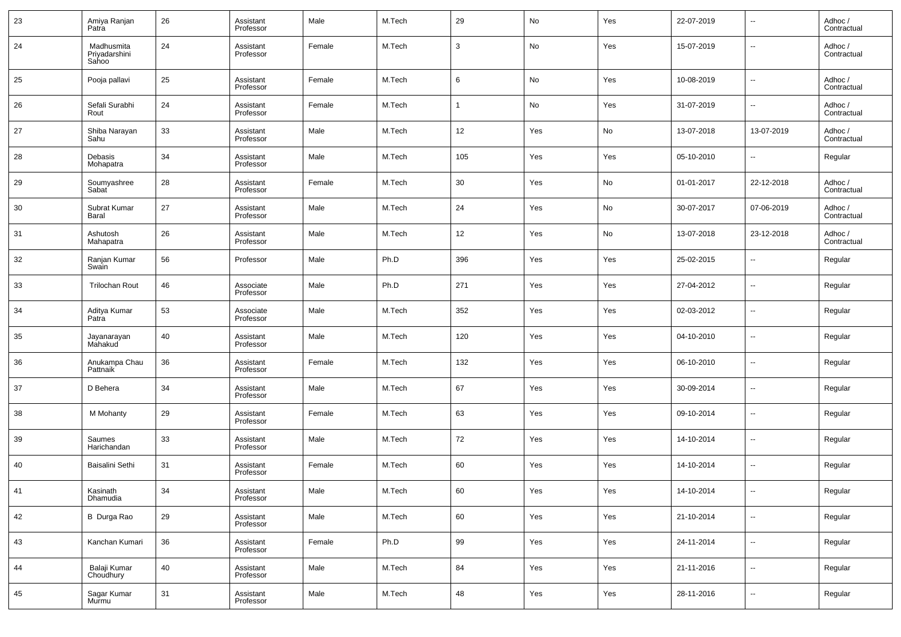| 23 | Amiya Ranjan<br>Patra                | 26 | Assistant<br>Professor | Male   | M.Tech | 29             | No  | Yes | 22-07-2019 | $\overline{\phantom{a}}$ | Adhoc /<br>Contractual |
|----|--------------------------------------|----|------------------------|--------|--------|----------------|-----|-----|------------|--------------------------|------------------------|
| 24 | Madhusmita<br>Priyadarshini<br>Sahoo | 24 | Assistant<br>Professor | Female | M.Tech | $\mathbf{3}$   | No  | Yes | 15-07-2019 | $\sim$                   | Adhoc /<br>Contractual |
| 25 | Pooja pallavi                        | 25 | Assistant<br>Professor | Female | M.Tech | 6              | No  | Yes | 10-08-2019 | $\ddotsc$                | Adhoc /<br>Contractual |
| 26 | Sefali Surabhi<br>Rout               | 24 | Assistant<br>Professor | Female | M.Tech | $\overline{1}$ | No  | Yes | 31-07-2019 | $\ddotsc$                | Adhoc /<br>Contractual |
| 27 | Shiba Narayan<br>Sahu                | 33 | Assistant<br>Professor | Male   | M.Tech | 12             | Yes | No  | 13-07-2018 | 13-07-2019               | Adhoc /<br>Contractual |
| 28 | Debasis<br>Mohapatra                 | 34 | Assistant<br>Professor | Male   | M.Tech | 105            | Yes | Yes | 05-10-2010 | $\ddotsc$                | Regular                |
| 29 | Soumyashree<br>Sabat                 | 28 | Assistant<br>Professor | Female | M.Tech | 30             | Yes | No  | 01-01-2017 | 22-12-2018               | Adhoc /<br>Contractual |
| 30 | Subrat Kumar<br>Baral                | 27 | Assistant<br>Professor | Male   | M.Tech | 24             | Yes | No  | 30-07-2017 | 07-06-2019               | Adhoc /<br>Contractual |
| 31 | Ashutosh<br>Mahapatra                | 26 | Assistant<br>Professor | Male   | M.Tech | 12             | Yes | No  | 13-07-2018 | 23-12-2018               | Adhoc /<br>Contractual |
| 32 | Ranjan Kumar<br>Swain                | 56 | Professor              | Male   | Ph.D   | 396            | Yes | Yes | 25-02-2015 | $\sim$                   | Regular                |
| 33 | <b>Trilochan Rout</b>                | 46 | Associate<br>Professor | Male   | Ph.D   | 271            | Yes | Yes | 27-04-2012 | $\overline{\phantom{a}}$ | Regular                |
| 34 | Aditya Kumar<br>Patra                | 53 | Associate<br>Professor | Male   | M.Tech | 352            | Yes | Yes | 02-03-2012 | $\sim$                   | Regular                |
| 35 | Jayanarayan<br>Mahakud               | 40 | Assistant<br>Professor | Male   | M.Tech | 120            | Yes | Yes | 04-10-2010 | $\sim$                   | Regular                |
| 36 | Anukampa Chau<br>Pattnaik            | 36 | Assistant<br>Professor | Female | M.Tech | 132            | Yes | Yes | 06-10-2010 | $\ddotsc$                | Regular                |
| 37 | D Behera                             | 34 | Assistant<br>Professor | Male   | M.Tech | 67             | Yes | Yes | 30-09-2014 | $\sim$                   | Regular                |
| 38 | M Mohanty                            | 29 | Assistant<br>Professor | Female | M.Tech | 63             | Yes | Yes | 09-10-2014 | $\ddotsc$                | Regular                |
| 39 | Saumes<br>Harichandan                | 33 | Assistant<br>Professor | Male   | M.Tech | 72             | Yes | Yes | 14-10-2014 | $\sim$                   | Regular                |
| 40 | Baisalini Sethi                      | 31 | Assistant<br>Professor | Female | M.Tech | 60             | Yes | Yes | 14-10-2014 | $\overline{\phantom{a}}$ | Regular                |
| 41 | Kasinath<br>Dhamudia                 | 34 | Assistant<br>Professor | Male   | M.Tech | 60             | Yes | Yes | 14-10-2014 |                          | Regular                |
| 42 | B Durga Rao                          | 29 | Assistant<br>Professor | Male   | M.Tech | 60             | Yes | Yes | 21-10-2014 | $\overline{\phantom{a}}$ | Regular                |
| 43 | Kanchan Kumari                       | 36 | Assistant<br>Professor | Female | Ph.D   | 99             | Yes | Yes | 24-11-2014 | $\overline{\phantom{a}}$ | Regular                |
| 44 | Balaji Kumar<br>Choudhury            | 40 | Assistant<br>Professor | Male   | M.Tech | 84             | Yes | Yes | 21-11-2016 | $\overline{\phantom{a}}$ | Regular                |
| 45 | Sagar Kumar<br>Murmu                 | 31 | Assistant<br>Professor | Male   | M.Tech | ${\bf 48}$     | Yes | Yes | 28-11-2016 | $\overline{\phantom{a}}$ | Regular                |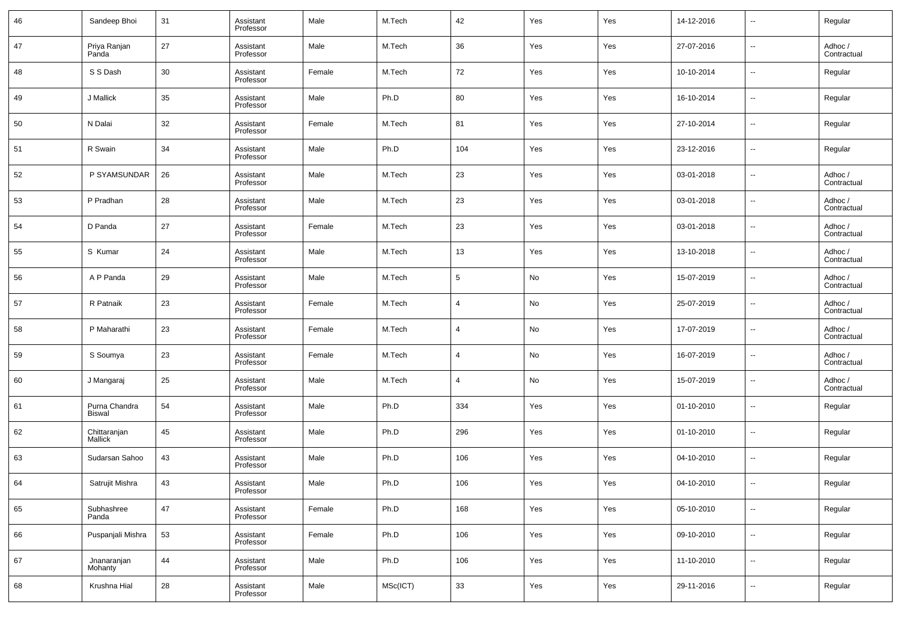| 46 | Sandeep Bhoi                   | 31 | Assistant<br>Professor | Male   | M.Tech   | 42  | Yes | Yes | 14-12-2016 | $\overline{\phantom{a}}$ | Regular                |
|----|--------------------------------|----|------------------------|--------|----------|-----|-----|-----|------------|--------------------------|------------------------|
| 47 | Priya Ranjan<br>Panda          | 27 | Assistant<br>Professor | Male   | M.Tech   | 36  | Yes | Yes | 27-07-2016 | $\overline{\phantom{a}}$ | Adhoc /<br>Contractual |
| 48 | S S Dash                       | 30 | Assistant<br>Professor | Female | M.Tech   | 72  | Yes | Yes | 10-10-2014 | $\overline{\phantom{a}}$ | Regular                |
| 49 | J Mallick                      | 35 | Assistant<br>Professor | Male   | Ph.D     | 80  | Yes | Yes | 16-10-2014 | $\overline{\phantom{a}}$ | Regular                |
| 50 | N Dalai                        | 32 | Assistant<br>Professor | Female | M.Tech   | 81  | Yes | Yes | 27-10-2014 | $\overline{\phantom{a}}$ | Regular                |
| 51 | R Swain                        | 34 | Assistant<br>Professor | Male   | Ph.D     | 104 | Yes | Yes | 23-12-2016 | $\overline{\phantom{a}}$ | Regular                |
| 52 | P SYAMSUNDAR                   | 26 | Assistant<br>Professor | Male   | M.Tech   | 23  | Yes | Yes | 03-01-2018 | $\overline{\phantom{a}}$ | Adhoc /<br>Contractual |
| 53 | P Pradhan                      | 28 | Assistant<br>Professor | Male   | M.Tech   | 23  | Yes | Yes | 03-01-2018 | $\overline{\phantom{a}}$ | Adhoc /<br>Contractual |
| 54 | D Panda                        | 27 | Assistant<br>Professor | Female | M.Tech   | 23  | Yes | Yes | 03-01-2018 | $\overline{\phantom{a}}$ | Adhoc /<br>Contractual |
| 55 | S Kumar                        | 24 | Assistant<br>Professor | Male   | M.Tech   | 13  | Yes | Yes | 13-10-2018 | $\overline{\phantom{a}}$ | Adhoc /<br>Contractual |
| 56 | A P Panda                      | 29 | Assistant<br>Professor | Male   | M.Tech   | 5   | No  | Yes | 15-07-2019 | $\overline{\phantom{a}}$ | Adhoc /<br>Contractual |
| 57 | R Patnaik                      | 23 | Assistant<br>Professor | Female | M.Tech   | 4   | No  | Yes | 25-07-2019 | $\overline{\phantom{a}}$ | Adhoc /<br>Contractual |
| 58 | P Maharathi                    | 23 | Assistant<br>Professor | Female | M.Tech   | 4   | No  | Yes | 17-07-2019 | $\overline{\phantom{a}}$ | Adhoc /<br>Contractual |
| 59 | S Soumya                       | 23 | Assistant<br>Professor | Female | M.Tech   | 4   | No  | Yes | 16-07-2019 | $\overline{\phantom{a}}$ | Adhoc /<br>Contractual |
| 60 | J Mangaraj                     | 25 | Assistant<br>Professor | Male   | M.Tech   | 4   | No  | Yes | 15-07-2019 | $\overline{\phantom{a}}$ | Adhoc /<br>Contractual |
| 61 | Purna Chandra<br><b>Biswal</b> | 54 | Assistant<br>Professor | Male   | Ph.D     | 334 | Yes | Yes | 01-10-2010 | $\overline{\phantom{a}}$ | Regular                |
| 62 | Chittaranjan<br>Mallick        | 45 | Assistant<br>Professor | Male   | Ph.D     | 296 | Yes | Yes | 01-10-2010 | $\overline{\phantom{a}}$ | Regular                |
| 63 | Sudarsan Sahoo                 | 43 | Assistant<br>Professor | Male   | Ph.D     | 106 | Yes | Yes | 04-10-2010 | $\overline{\phantom{a}}$ | Regular                |
| 64 | Satrujit Mishra                | 43 | Assistant<br>Professor | Male   | Ph.D     | 106 | Yes | Yes | 04-10-2010 | $\overline{\phantom{a}}$ | Regular                |
| 65 | Subhashree<br>Panda            | 47 | Assistant<br>Professor | Female | Ph.D     | 168 | Yes | Yes | 05-10-2010 | $\overline{\phantom{a}}$ | Regular                |
| 66 | Puspanjali Mishra              | 53 | Assistant<br>Professor | Female | Ph.D     | 106 | Yes | Yes | 09-10-2010 | $\overline{\phantom{a}}$ | Regular                |
| 67 | Jnanaranjan<br>Mohanty         | 44 | Assistant<br>Professor | Male   | Ph.D     | 106 | Yes | Yes | 11-10-2010 | $\overline{\phantom{a}}$ | Regular                |
| 68 | Krushna Hial                   | 28 | Assistant<br>Professor | Male   | MSc(ICT) | 33  | Yes | Yes | 29-11-2016 | $\sim$                   | Regular                |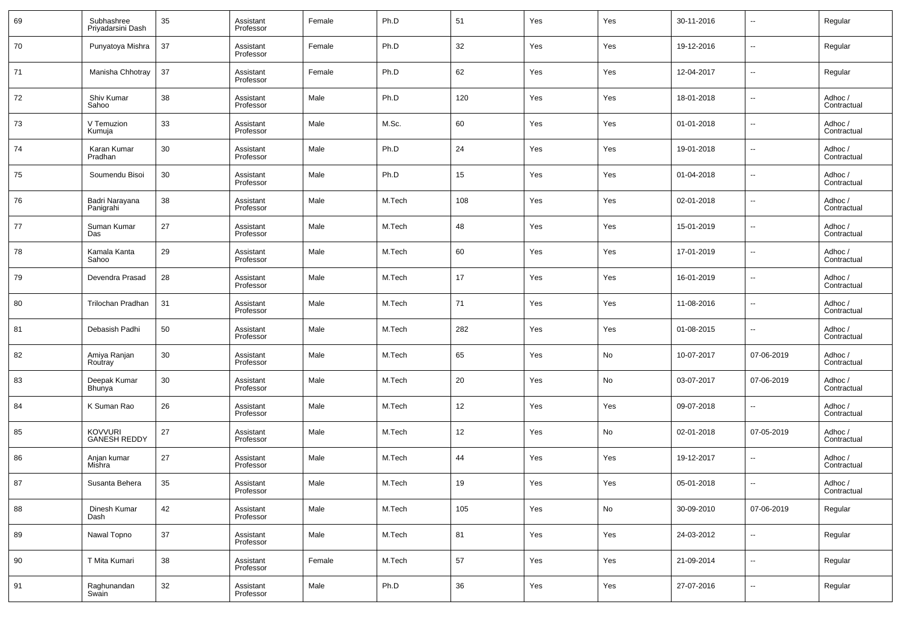| 69 | Subhashree<br>Priyadarsini Dash       | 35 | Assistant<br>Professor | Female | Ph.D   | 51  | Yes | Yes | 30-11-2016 | $\overline{\phantom{a}}$ | Regular                |
|----|---------------------------------------|----|------------------------|--------|--------|-----|-----|-----|------------|--------------------------|------------------------|
| 70 | Punyatoya Mishra                      | 37 | Assistant<br>Professor | Female | Ph.D   | 32  | Yes | Yes | 19-12-2016 | $\overline{\phantom{a}}$ | Regular                |
| 71 | Manisha Chhotray                      | 37 | Assistant<br>Professor | Female | Ph.D   | 62  | Yes | Yes | 12-04-2017 | $\overline{\phantom{a}}$ | Regular                |
| 72 | Shiv Kumar<br>Sahoo                   | 38 | Assistant<br>Professor | Male   | Ph.D   | 120 | Yes | Yes | 18-01-2018 | --                       | Adhoc /<br>Contractual |
| 73 | V Temuzion<br>Kumuja                  | 33 | Assistant<br>Professor | Male   | M.Sc.  | 60  | Yes | Yes | 01-01-2018 | $\overline{\phantom{a}}$ | Adhoc /<br>Contractual |
| 74 | Karan Kumar<br>Pradhan                | 30 | Assistant<br>Professor | Male   | Ph.D   | 24  | Yes | Yes | 19-01-2018 | $\overline{\phantom{a}}$ | Adhoc /<br>Contractual |
| 75 | Soumendu Bisoi                        | 30 | Assistant<br>Professor | Male   | Ph.D   | 15  | Yes | Yes | 01-04-2018 | $\overline{\phantom{a}}$ | Adhoc /<br>Contractual |
| 76 | Badri Narayana<br>Panigrahi           | 38 | Assistant<br>Professor | Male   | M.Tech | 108 | Yes | Yes | 02-01-2018 | $\overline{\phantom{a}}$ | Adhoc /<br>Contractual |
| 77 | Suman Kumar<br>Das                    | 27 | Assistant<br>Professor | Male   | M.Tech | 48  | Yes | Yes | 15-01-2019 | $\overline{\phantom{a}}$ | Adhoc /<br>Contractual |
| 78 | Kamala Kanta<br>Sahoo                 | 29 | Assistant<br>Professor | Male   | M.Tech | 60  | Yes | Yes | 17-01-2019 | $\overline{\phantom{a}}$ | Adhoc /<br>Contractual |
| 79 | Devendra Prasad                       | 28 | Assistant<br>Professor | Male   | M.Tech | 17  | Yes | Yes | 16-01-2019 | $\overline{\phantom{a}}$ | Adhoc /<br>Contractual |
| 80 | Trilochan Pradhan                     | 31 | Assistant<br>Professor | Male   | M.Tech | 71  | Yes | Yes | 11-08-2016 | $\overline{\phantom{a}}$ | Adhoc /<br>Contractual |
| 81 | Debasish Padhi                        | 50 | Assistant<br>Professor | Male   | M.Tech | 282 | Yes | Yes | 01-08-2015 | $\overline{\phantom{a}}$ | Adhoc /<br>Contractual |
| 82 | Amiya Ranjan<br>Routray               | 30 | Assistant<br>Professor | Male   | M.Tech | 65  | Yes | No  | 10-07-2017 | 07-06-2019               | Adhoc /<br>Contractual |
| 83 | Deepak Kumar<br>Bhunya                | 30 | Assistant<br>Professor | Male   | M.Tech | 20  | Yes | No  | 03-07-2017 | 07-06-2019               | Adhoc /<br>Contractual |
| 84 | K Suman Rao                           | 26 | Assistant<br>Professor | Male   | M.Tech | 12  | Yes | Yes | 09-07-2018 | $\overline{\phantom{a}}$ | Adhoc /<br>Contractual |
| 85 | <b>KOVVURI</b><br><b>GANESH REDDY</b> | 27 | Assistant<br>Professor | Male   | M.Tech | 12  | Yes | No  | 02-01-2018 | 07-05-2019               | Adhoc /<br>Contractual |
| 86 | Anjan kumar<br>Mishra                 | 27 | Assistant<br>Professor | Male   | M.Tech | 44  | Yes | Yes | 19-12-2017 | $\overline{\phantom{a}}$ | Adhoc /<br>Contractual |
| 87 | Susanta Behera                        | 35 | Assistant<br>Professor | Male   | M.Tech | 19  | Yes | Yes | 05-01-2018 | $\overline{\phantom{a}}$ | Adhoc /<br>Contractual |
| 88 | Dinesh Kumar<br>Dash                  | 42 | Assistant<br>Professor | Male   | M.Tech | 105 | Yes | No  | 30-09-2010 | 07-06-2019               | Regular                |
| 89 | Nawal Topno                           | 37 | Assistant<br>Professor | Male   | M.Tech | 81  | Yes | Yes | 24-03-2012 | $\sim$                   | Regular                |
| 90 | T Mita Kumari                         | 38 | Assistant<br>Professor | Female | M.Tech | 57  | Yes | Yes | 21-09-2014 | $\sim$                   | Regular                |
| 91 | Raghunandan<br>Swain                  | 32 | Assistant<br>Professor | Male   | Ph.D   | 36  | Yes | Yes | 27-07-2016 | $\overline{\phantom{a}}$ | Regular                |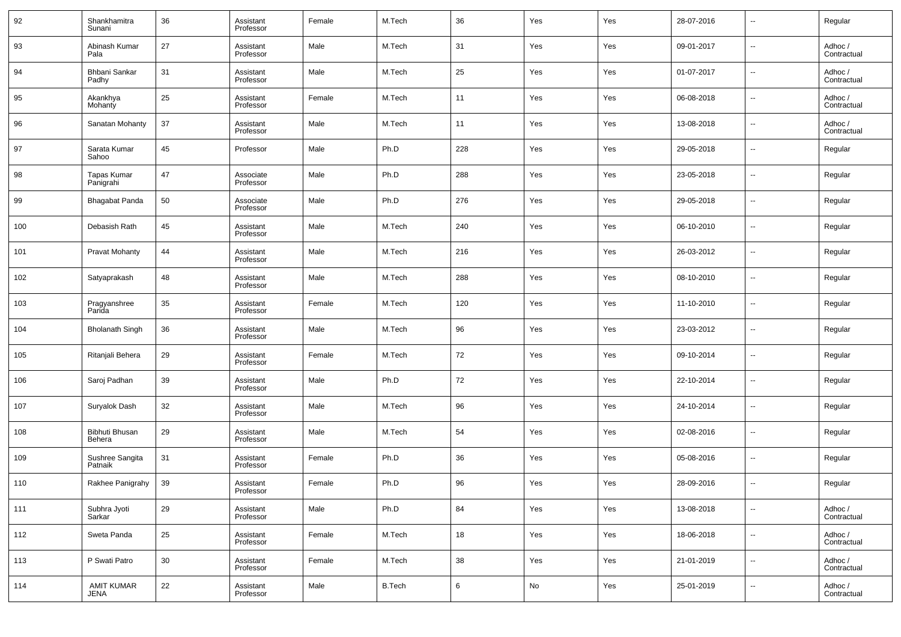| 92  | Shankhamitra<br>Sunani     | 36 | Assistant<br>Professor | Female | M.Tech        | 36  | Yes | Yes | 28-07-2016 | $\overline{\phantom{a}}$ | Regular                |
|-----|----------------------------|----|------------------------|--------|---------------|-----|-----|-----|------------|--------------------------|------------------------|
| 93  | Abinash Kumar<br>Pala      | 27 | Assistant<br>Professor | Male   | M.Tech        | 31  | Yes | Yes | 09-01-2017 | $\overline{\phantom{a}}$ | Adhoc /<br>Contractual |
| 94  | Bhbani Sankar<br>Padhy     | 31 | Assistant<br>Professor | Male   | M.Tech        | 25  | Yes | Yes | 01-07-2017 | $\overline{\phantom{a}}$ | Adhoc /<br>Contractual |
| 95  | Akankhya<br>Mohanty        | 25 | Assistant<br>Professor | Female | M.Tech        | 11  | Yes | Yes | 06-08-2018 | $\overline{\phantom{a}}$ | Adhoc /<br>Contractual |
| 96  | Sanatan Mohanty            | 37 | Assistant<br>Professor | Male   | M.Tech        | 11  | Yes | Yes | 13-08-2018 | $\overline{\phantom{a}}$ | Adhoc /<br>Contractual |
| 97  | Sarata Kumar<br>Sahoo      | 45 | Professor              | Male   | Ph.D          | 228 | Yes | Yes | 29-05-2018 | $\overline{\phantom{a}}$ | Regular                |
| 98  | Tapas Kumar<br>Panigrahi   | 47 | Associate<br>Professor | Male   | Ph.D          | 288 | Yes | Yes | 23-05-2018 | $\overline{\phantom{a}}$ | Regular                |
| 99  | Bhagabat Panda             | 50 | Associate<br>Professor | Male   | Ph.D          | 276 | Yes | Yes | 29-05-2018 | $\overline{\phantom{a}}$ | Regular                |
| 100 | Debasish Rath              | 45 | Assistant<br>Professor | Male   | M.Tech        | 240 | Yes | Yes | 06-10-2010 | $\overline{\phantom{a}}$ | Regular                |
| 101 | <b>Pravat Mohanty</b>      | 44 | Assistant<br>Professor | Male   | M.Tech        | 216 | Yes | Yes | 26-03-2012 | $\overline{\phantom{a}}$ | Regular                |
| 102 | Satyaprakash               | 48 | Assistant<br>Professor | Male   | M.Tech        | 288 | Yes | Yes | 08-10-2010 | $\overline{\phantom{a}}$ | Regular                |
| 103 | Pragyanshree<br>Parida     | 35 | Assistant<br>Professor | Female | M.Tech        | 120 | Yes | Yes | 11-10-2010 | $\overline{\phantom{a}}$ | Regular                |
| 104 | <b>Bholanath Singh</b>     | 36 | Assistant<br>Professor | Male   | M.Tech        | 96  | Yes | Yes | 23-03-2012 | $\overline{\phantom{a}}$ | Regular                |
| 105 | Ritanjali Behera           | 29 | Assistant<br>Professor | Female | M.Tech        | 72  | Yes | Yes | 09-10-2014 | $\overline{\phantom{a}}$ | Regular                |
| 106 | Saroj Padhan               | 39 | Assistant<br>Professor | Male   | Ph.D          | 72  | Yes | Yes | 22-10-2014 | $\overline{\phantom{a}}$ | Regular                |
| 107 | Suryalok Dash              | 32 | Assistant<br>Professor | Male   | M.Tech        | 96  | Yes | Yes | 24-10-2014 | $\overline{\phantom{a}}$ | Regular                |
| 108 | Bibhuti Bhusan<br>Behera   | 29 | Assistant<br>Professor | Male   | M.Tech        | 54  | Yes | Yes | 02-08-2016 | $\overline{\phantom{a}}$ | Regular                |
| 109 | Sushree Sangita<br>Patnaik | 31 | Assistant<br>Professor | Female | Ph.D          | 36  | Yes | Yes | 05-08-2016 | $\overline{\phantom{a}}$ | Regular                |
| 110 | Rakhee Panigrahy           | 39 | Assistant<br>Professor | Female | Ph.D          | 96  | Yes | Yes | 28-09-2016 | $\overline{\phantom{a}}$ | Regular                |
| 111 | Subhra Jyoti<br>Sarkar     | 29 | Assistant<br>Professor | Male   | Ph.D          | 84  | Yes | Yes | 13-08-2018 | $\sim$                   | Adhoc /<br>Contractual |
| 112 | Sweta Panda                | 25 | Assistant<br>Professor | Female | M.Tech        | 18  | Yes | Yes | 18-06-2018 | $\overline{\phantom{a}}$ | Adhoc /<br>Contractual |
| 113 | P Swati Patro              | 30 | Assistant<br>Professor | Female | M.Tech        | 38  | Yes | Yes | 21-01-2019 | $\overline{\phantom{a}}$ | Adhoc /<br>Contractual |
| 114 | <b>AMIT KUMAR</b><br>JENA  | 22 | Assistant<br>Professor | Male   | <b>B.Tech</b> | 6   | No  | Yes | 25-01-2019 | $\overline{\phantom{a}}$ | Adhoc /<br>Contractual |